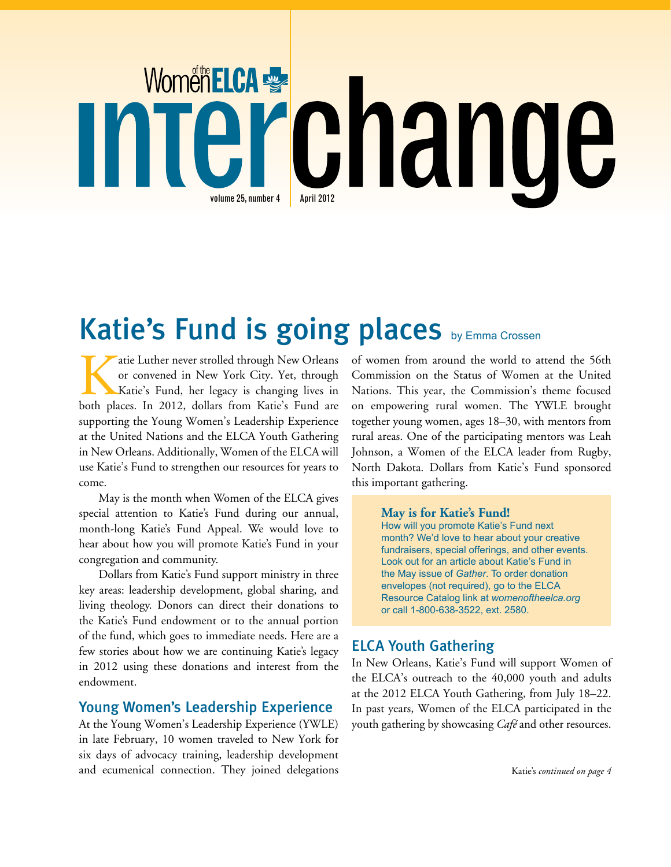# Women ELCA C nang volume  $25$ , number  $4$  <br> April 2012

# Katie's Fund is going places by Emma Crossen

atie Luther never strolled through New Orleans or convened in New York City. Yet, through Katie's Fund, her legacy is changing lives in both places. In 2012, dollars from Katie's Fund are supporting the Young Women's Leadership Experience at the United Nations and the ELCA Youth Gathering in New Orleans. Additionally, Women of the ELCA will use Katie's Fund to strengthen our resources for years to come.

May is the month when Women of the ELCA gives special attention to Katie's Fund during our annual, month-long Katie's Fund Appeal. We would love to hear about how you will promote Katie's Fund in your congregation and community.

Dollars from Katie's Fund support ministry in three key areas: leadership development, global sharing, and living theology. Donors can direct their donations to the Katie's Fund endowment or to the annual portion of the fund, which goes to immediate needs. Here are a few stories about how we are continuing Katie's legacy in 2012 using these donations and interest from the endowment.

### Young Women's Leadership Experience

At the Young Women's Leadership Experience (YWLE) in late February, 10 women traveled to New York for six days of advocacy training, leadership development and ecumenical connection. They joined delegations of women from around the world to attend the 56th Commission on the Status of Women at the United Nations. This year, the Commission's theme focused on empowering rural women. The YWLE brought together young women, ages 18–30, with mentors from rural areas. One of the participating mentors was Leah Johnson, a Women of the ELCA leader from Rugby, North Dakota. Dollars from Katie's Fund sponsored this important gathering.

#### **May is for Katie's Fund!**

How will you promote Katie's Fund next month? We'd love to hear about your creative fundraisers, special offerings, and other events. Look out for an article about Katie's Fund in the May issue of *Gather*. To order donation envelopes (not required), go to the ELCA Resource Catalog link at *womenoftheelca.org* or call 1-800-638-3522, ext. 2580.

## ELCA Youth Gathering

In New Orleans, Katie's Fund will support Women of the ELCA's outreach to the 40,000 youth and adults at the 2012 ELCA Youth Gathering, from July 18–22. In past years, Women of the ELCA participated in the youth gathering by showcasing *Café* and other resources.